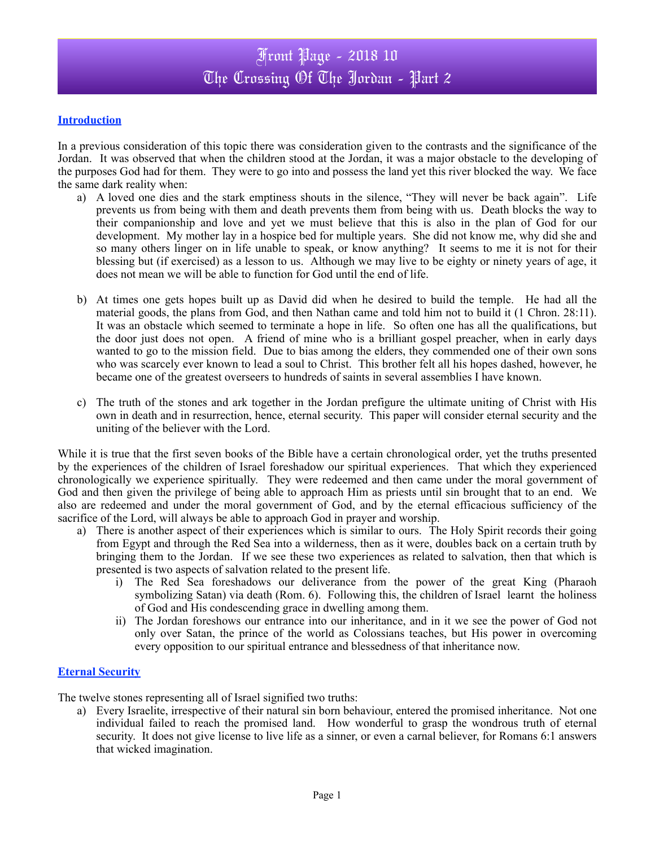### **Introduction**

In a previous consideration of this topic there was consideration given to the contrasts and the significance of the Jordan. It was observed that when the children stood at the Jordan, it was a major obstacle to the developing of the purposes God had for them. They were to go into and possess the land yet this river blocked the way. We face the same dark reality when:

- a) A loved one dies and the stark emptiness shouts in the silence, "They will never be back again". Life prevents us from being with them and death prevents them from being with us. Death blocks the way to their companionship and love and yet we must believe that this is also in the plan of God for our development. My mother lay in a hospice bed for multiple years. She did not know me, why did she and so many others linger on in life unable to speak, or know anything? It seems to me it is not for their blessing but (if exercised) as a lesson to us. Although we may live to be eighty or ninety years of age, it does not mean we will be able to function for God until the end of life.
- b) At times one gets hopes built up as David did when he desired to build the temple. He had all the material goods, the plans from God, and then Nathan came and told him not to build it (1 Chron. 28:11). It was an obstacle which seemed to terminate a hope in life. So often one has all the qualifications, but the door just does not open. A friend of mine who is a brilliant gospel preacher, when in early days wanted to go to the mission field. Due to bias among the elders, they commended one of their own sons who was scarcely ever known to lead a soul to Christ. This brother felt all his hopes dashed, however, he became one of the greatest overseers to hundreds of saints in several assemblies I have known.
- c) The truth of the stones and ark together in the Jordan prefigure the ultimate uniting of Christ with His own in death and in resurrection, hence, eternal security. This paper will consider eternal security and the uniting of the believer with the Lord.

While it is true that the first seven books of the Bible have a certain chronological order, yet the truths presented by the experiences of the children of Israel foreshadow our spiritual experiences. That which they experienced chronologically we experience spiritually. They were redeemed and then came under the moral government of God and then given the privilege of being able to approach Him as priests until sin brought that to an end. We also are redeemed and under the moral government of God, and by the eternal efficacious sufficiency of the sacrifice of the Lord, will always be able to approach God in prayer and worship.

- a) There is another aspect of their experiences which is similar to ours. The Holy Spirit records their going from Egypt and through the Red Sea into a wilderness, then as it were, doubles back on a certain truth by bringing them to the Jordan. If we see these two experiences as related to salvation, then that which is presented is two aspects of salvation related to the present life.
	- i) The Red Sea foreshadows our deliverance from the power of the great King (Pharaoh symbolizing Satan) via death (Rom. 6). Following this, the children of Israel learnt the holiness of God and His condescending grace in dwelling among them.
	- ii) The Jordan foreshows our entrance into our inheritance, and in it we see the power of God not only over Satan, the prince of the world as Colossians teaches, but His power in overcoming every opposition to our spiritual entrance and blessedness of that inheritance now.

#### **Eternal Security**

The twelve stones representing all of Israel signified two truths:

a) Every Israelite, irrespective of their natural sin born behaviour, entered the promised inheritance. Not one individual failed to reach the promised land. How wonderful to grasp the wondrous truth of eternal security. It does not give license to live life as a sinner, or even a carnal believer, for Romans 6:1 answers that wicked imagination.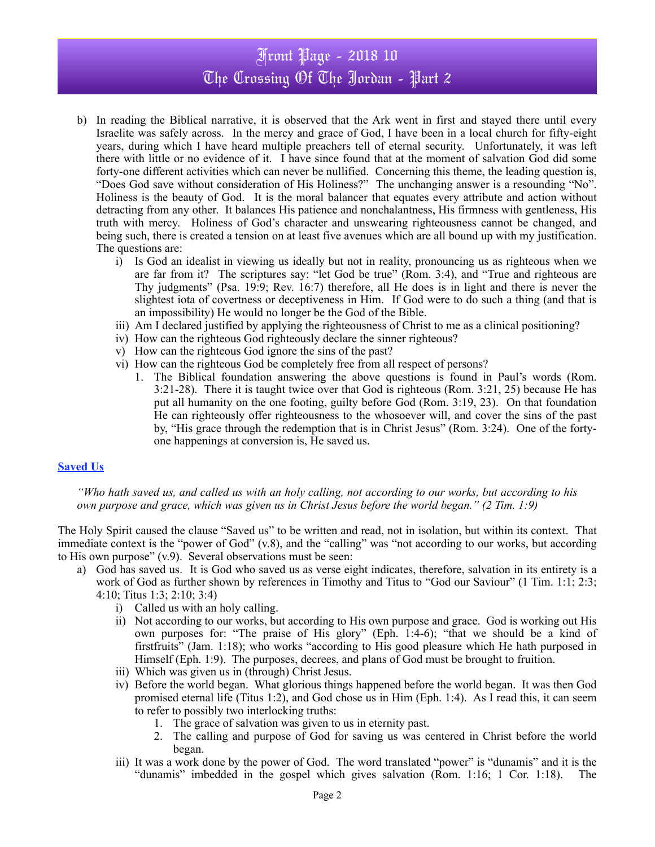# Front Page - 2018 10 The Crossing Of The Jordan - Part 2

- b) In reading the Biblical narrative, it is observed that the Ark went in first and stayed there until every Israelite was safely across. In the mercy and grace of God, I have been in a local church for fifty-eight years, during which I have heard multiple preachers tell of eternal security. Unfortunately, it was left there with little or no evidence of it. I have since found that at the moment of salvation God did some forty-one different activities which can never be nullified. Concerning this theme, the leading question is, "Does God save without consideration of His Holiness?" The unchanging answer is a resounding "No". Holiness is the beauty of God. It is the moral balancer that equates every attribute and action without detracting from any other. It balances His patience and nonchalantness, His firmness with gentleness, His truth with mercy. Holiness of God's character and unswearing righteousness cannot be changed, and being such, there is created a tension on at least five avenues which are all bound up with my justification. The questions are:
	- i) Is God an idealist in viewing us ideally but not in reality, pronouncing us as righteous when we are far from it? The scriptures say: "let God be true" (Rom. 3:4), and "True and righteous are Thy judgments" (Psa. 19:9; Rev. 16:7) therefore, all He does is in light and there is never the slightest iota of covertness or deceptiveness in Him. If God were to do such a thing (and that is an impossibility) He would no longer be the God of the Bible.
	- iii) Am I declared justified by applying the righteousness of Christ to me as a clinical positioning?
	- iv) How can the righteous God righteously declare the sinner righteous?
	- v) How can the righteous God ignore the sins of the past?
	- vi) How can the righteous God be completely free from all respect of persons?
		- 1. The Biblical foundation answering the above questions is found in Paul's words (Rom. 3:21-28). There it is taught twice over that God is righteous (Rom. 3:21, 25) because He has put all humanity on the one footing, guilty before God (Rom. 3:19, 23). On that foundation He can righteously offer righteousness to the whosoever will, and cover the sins of the past by, "His grace through the redemption that is in Christ Jesus" (Rom. 3:24). One of the fortyone happenings at conversion is, He saved us.

#### **Saved Us**

*"Who hath saved us, and called us with an holy calling, not according to our works, but according to his own purpose and grace, which was given us in Christ Jesus before the world began." (2 Tim. 1:9)*

The Holy Spirit caused the clause "Saved us" to be written and read, not in isolation, but within its context. That immediate context is the "power of God" (v.8), and the "calling" was "not according to our works, but according to His own purpose" (v.9). Several observations must be seen:

- a) God has saved us. It is God who saved us as verse eight indicates, therefore, salvation in its entirety is a work of God as further shown by references in Timothy and Titus to "God our Saviour" (1 Tim. 1:1; 2:3; 4:10; Titus 1:3; 2:10; 3:4)
	- i) Called us with an holy calling.
	- ii) Not according to our works, but according to His own purpose and grace. God is working out His own purposes for: "The praise of His glory" (Eph. 1:4-6); "that we should be a kind of firstfruits" (Jam. 1:18); who works "according to His good pleasure which He hath purposed in Himself (Eph. 1:9). The purposes, decrees, and plans of God must be brought to fruition.
	- iii) Which was given us in (through) Christ Jesus.
	- iv) Before the world began. What glorious things happened before the world began. It was then God promised eternal life (Titus 1:2), and God chose us in Him (Eph. 1:4). As I read this, it can seem to refer to possibly two interlocking truths:
		- 1. The grace of salvation was given to us in eternity past.
		- 2. The calling and purpose of God for saving us was centered in Christ before the world began.
	- iii) It was a work done by the power of God. The word translated "power" is "dunamis" and it is the "dunamis" imbedded in the gospel which gives salvation (Rom. 1:16; 1 Cor. 1:18). The